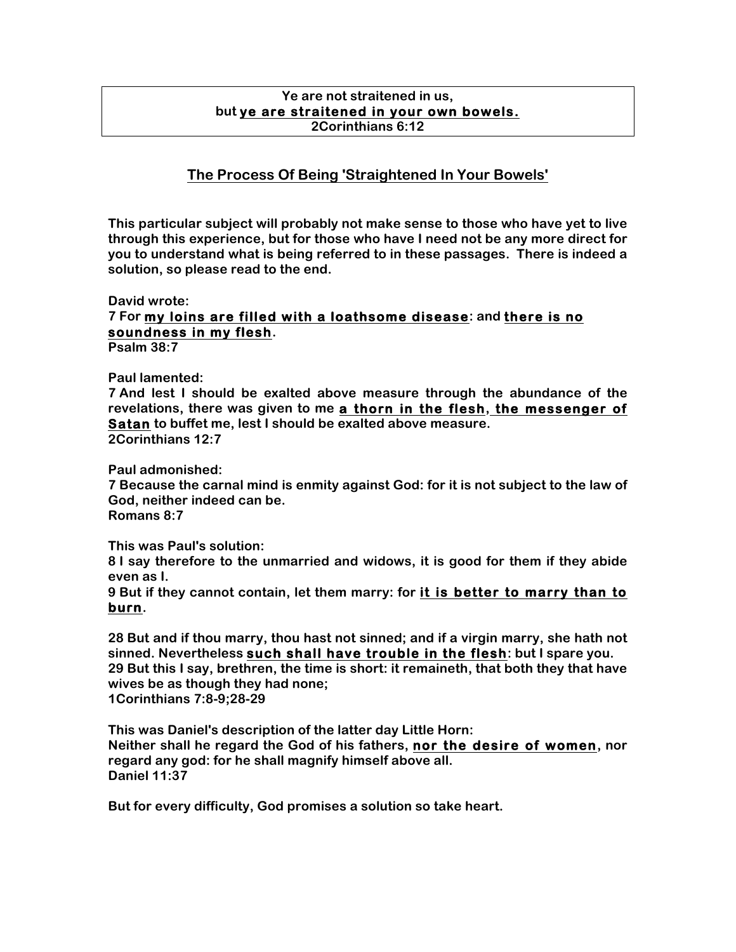### **Ye are not straitened in us, but ye are straitened in your own bowels. 2Corinthians 6:12**

## **The Process Of Being 'Straightened In Your Bowels'**

**This particular subject will probably not make sense to those who have yet to live through this experience, but for those who have I need not be any more direct for you to understand what is being referred to in these passages. There is indeed a solution, so please read to the end.**

#### **David wrote:**

# **7 For my loins are filled with a loathsome disease: and there is no soundness in my flesh.**

**Psalm 38:7**

### **Paul lamented:**

**7 And lest I should be exalted above measure through the abundance of the revelations, there was given to me a thorn in the flesh, the messenger of Satan to buffet me, lest I should be exalted above measure. 2Corinthians 12:7**

**Paul admonished:**

**7 Because the carnal mind is enmity against God: for it is not subject to the law of God, neither indeed can be. Romans 8:7**

**This was Paul's solution:**

**8 I say therefore to the unmarried and widows, it is good for them if they abide even as I.**

**9 But if they cannot contain, let them marry: for it is better to marry than to burn.**

**28 But and if thou marry, thou hast not sinned; and if a virgin marry, she hath not sinned. Nevertheless such shall have trouble in the flesh: but I spare you. 29 But this I say, brethren, the time is short: it remaineth, that both they that have wives be as though they had none; 1Corinthians 7:8-9;28-29**

**This was Daniel's description of the latter day Little Horn: Neither shall he regard the God of his fathers, nor the desire of women, nor regard any god: for he shall magnify himself above all. Daniel 11:37**

**But for every difficulty, God promises a solution so take heart.**